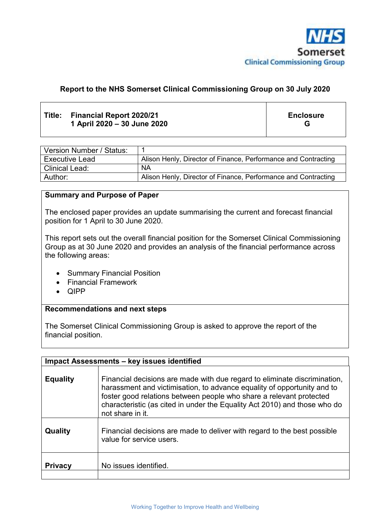

# **Report to the NHS Somerset Clinical Commissioning Group on 30 July 2020**

## **Title: Financial Report 2020/21 1 April 2020 – 30 June 2020**

**Enclosure G** 

| Version Number / Status: |                                                                |
|--------------------------|----------------------------------------------------------------|
| <b>Executive Lead</b>    | Alison Henly, Director of Finance, Performance and Contracting |
| <b>Clinical Lead:</b>    | <b>NA</b>                                                      |
| Author:                  | Alison Henly, Director of Finance, Performance and Contracting |

#### **Summary and Purpose of Paper**

The enclosed paper provides an update summarising the current and forecast financial position for 1 April to 30 June 2020.

This report sets out the overall financial position for the Somerset Clinical Commissioning Group as at 30 June 2020 and provides an analysis of the financial performance across the following areas:

- Summary Financial Position
- Financial Framework
- $\bullet$  QIPP

#### **Recommendations and next steps**

The Somerset Clinical Commissioning Group is asked to approve the report of the financial position.

| Impact Assessments - key issues identified |                                                                                                                                                                                                                                                                                                                              |  |
|--------------------------------------------|------------------------------------------------------------------------------------------------------------------------------------------------------------------------------------------------------------------------------------------------------------------------------------------------------------------------------|--|
| <b>Equality</b>                            | Financial decisions are made with due regard to eliminate discrimination,<br>harassment and victimisation, to advance equality of opportunity and to<br>foster good relations between people who share a relevant protected<br>characteristic (as cited in under the Equality Act 2010) and those who do<br>not share in it. |  |
| Quality                                    | Financial decisions are made to deliver with regard to the best possible<br>value for service users.                                                                                                                                                                                                                         |  |
| <b>Privacy</b>                             | No issues identified.                                                                                                                                                                                                                                                                                                        |  |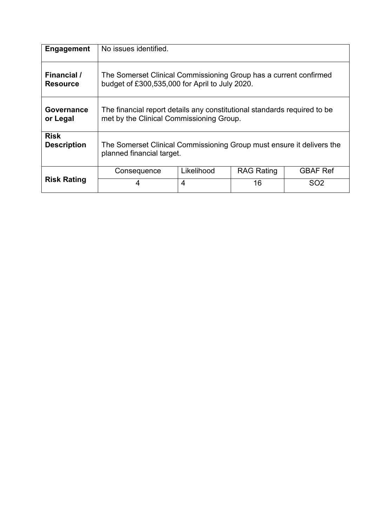| Engagement         | No issues identified.                                                    |                |                   |                 |
|--------------------|--------------------------------------------------------------------------|----------------|-------------------|-----------------|
| Financial /        | The Somerset Clinical Commissioning Group has a current confirmed        |                |                   |                 |
| <b>Resource</b>    | budget of £300,535,000 for April to July 2020.                           |                |                   |                 |
| Governance         | The financial report details any constitutional standards required to be |                |                   |                 |
| or Legal           | met by the Clinical Commissioning Group.                                 |                |                   |                 |
| <b>Risk</b>        | The Somerset Clinical Commissioning Group must ensure it delivers the    |                |                   |                 |
| <b>Description</b> | planned financial target.                                                |                |                   |                 |
|                    | Consequence                                                              | Likelihood     | <b>RAG Rating</b> | <b>GBAF Ref</b> |
| <b>Risk Rating</b> | 4                                                                        | $\overline{4}$ | 16                | SO <sub>2</sub> |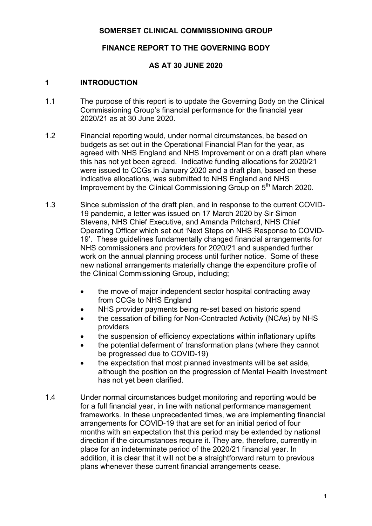## **SOMERSET CLINICAL COMMISSIONING GROUP**

# **FINANCE REPORT TO THE GOVERNING BODY**

# **AS AT 30 JUNE 2020**

### **1 INTRODUCTION**

- 1.1 The purpose of this report is to update the Governing Body on the Clinical Commissioning Group's financial performance for the financial year 2020/21 as at 30 June 2020.
- 1.2 Financial reporting would, under normal circumstances, be based on budgets as set out in the Operational Financial Plan for the year, as agreed with NHS England and NHS Improvement or on a draft plan where this has not yet been agreed. Indicative funding allocations for 2020/21 were issued to CCGs in January 2020 and a draft plan, based on these indicative allocations, was submitted to NHS England and NHS Improvement by the Clinical Commissioning Group on 5<sup>th</sup> March 2020.
- 1.3 Since submission of the draft plan, and in response to the current COVID-19 pandemic, a letter was issued on 17 March 2020 by Sir Simon Stevens, NHS Chief Executive, and Amanda Pritchard, NHS Chief Operating Officer which set out 'Next Steps on NHS Response to COVID-19'. These guidelines fundamentally changed financial arrangements for NHS commissioners and providers for 2020/21 and suspended further work on the annual planning process until further notice. Some of these new national arrangements materially change the expenditure profile of the Clinical Commissioning Group, including;
	- the move of major independent sector hospital contracting away from CCGs to NHS England
	- NHS provider payments being re-set based on historic spend
	- the cessation of billing for Non-Contracted Activity (NCAs) by NHS providers
	- the suspension of efficiency expectations within inflationary uplifts
	- the potential deferment of transformation plans (where they cannot be progressed due to COVID-19)
	- the expectation that most planned investments will be set aside, although the position on the progression of Mental Health Investment has not yet been clarified.
- 1.4 Under normal circumstances budget monitoring and reporting would be for a full financial year, in line with national performance management frameworks. In these unprecedented times, we are implementing financial arrangements for COVID-19 that are set for an initial period of four months with an expectation that this period may be extended by national direction if the circumstances require it. They are, therefore, currently in place for an indeterminate period of the 2020/21 financial year. In addition, it is clear that it will not be a straightforward return to previous plans whenever these current financial arrangements cease.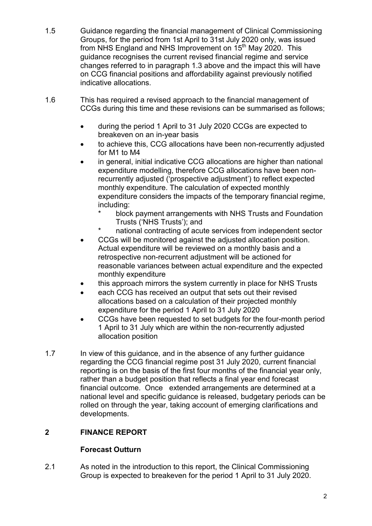- 1.5 Guidance regarding the financial management of Clinical Commissioning Groups, for the period from 1st April to 31st July 2020 only, was issued from NHS England and NHS Improvement on 15<sup>th</sup> May 2020. This guidance recognises the current revised financial regime and service changes referred to in paragraph 1.3 above and the impact this will have on CCG financial positions and affordability against previously notified indicative allocations.
- 1.6 This has required a revised approach to the financial management of CCGs during this time and these revisions can be summarised as follows;
	- during the period 1 April to 31 July 2020 CCGs are expected to breakeven on an in-year basis
	- to achieve this, CCG allocations have been non-recurrently adjusted for M1 to M4
	- in general, initial indicative CCG allocations are higher than national expenditure modelling, therefore CCG allocations have been nonrecurrently adjusted ('prospective adjustment') to reflect expected monthly expenditure. The calculation of expected monthly expenditure considers the impacts of the temporary financial regime, including:
		- block payment arrangements with NHS Trusts and Foundation Trusts ('NHS Trusts'); and
		- \* national contracting of acute services from independent sector
	- CCGs will be monitored against the adjusted allocation position. Actual expenditure will be reviewed on a monthly basis and a retrospective non-recurrent adjustment will be actioned for reasonable variances between actual expenditure and the expected monthly expenditure
	- this approach mirrors the system currently in place for NHS Trusts
	- each CCG has received an output that sets out their revised allocations based on a calculation of their projected monthly expenditure for the period 1 April to 31 July 2020
	- CCGs have been requested to set budgets for the four-month period 1 April to 31 July which are within the non-recurrently adjusted allocation position
- 1.7 In view of this guidance, and in the absence of any further guidance regarding the CCG financial regime post 31 July 2020, current financial reporting is on the basis of the first four months of the financial year only, rather than a budget position that reflects a final year end forecast financial outcome. Once extended arrangements are determined at a national level and specific guidance is released, budgetary periods can be rolled on through the year, taking account of emerging clarifications and developments.

# **2 FINANCE REPORT**

# **Forecast Outturn**

2.1 As noted in the introduction to this report, the Clinical Commissioning Group is expected to breakeven for the period 1 April to 31 July 2020.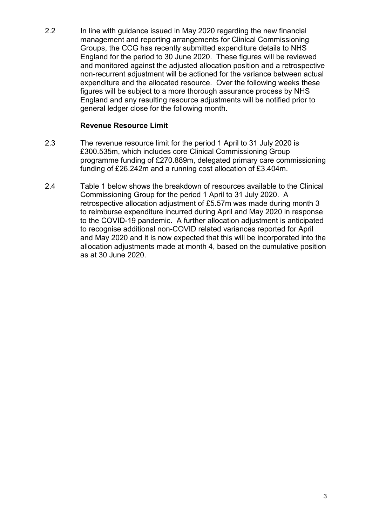2.2 In line with guidance issued in May 2020 regarding the new financial management and reporting arrangements for Clinical Commissioning Groups, the CCG has recently submitted expenditure details to NHS England for the period to 30 June 2020. These figures will be reviewed and monitored against the adjusted allocation position and a retrospective non-recurrent adjustment will be actioned for the variance between actual expenditure and the allocated resource. Over the following weeks these figures will be subject to a more thorough assurance process by NHS England and any resulting resource adjustments will be notified prior to general ledger close for the following month.

## **Revenue Resource Limit**

- 2.3 The revenue resource limit for the period 1 April to 31 July 2020 is £300.535m, which includes core Clinical Commissioning Group programme funding of £270.889m, delegated primary care commissioning funding of £26.242m and a running cost allocation of £3.404m.
- 2.4 Table 1 below shows the breakdown of resources available to the Clinical Commissioning Group for the period 1 April to 31 July 2020. A retrospective allocation adjustment of £5.57m was made during month 3 to reimburse expenditure incurred during April and May 2020 in response to the COVID-19 pandemic. A further allocation adjustment is anticipated to recognise additional non-COVID related variances reported for April and May 2020 and it is now expected that this will be incorporated into the allocation adjustments made at month 4, based on the cumulative position as at 30 June 2020.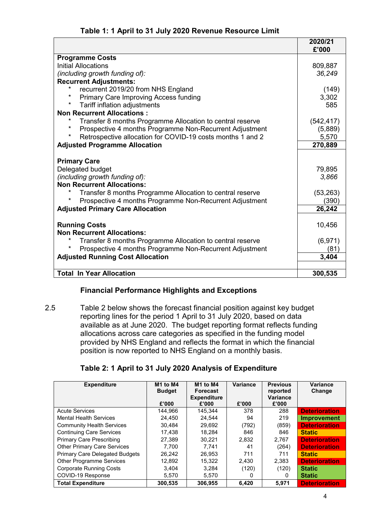## **Table 1: 1 April to 31 July 2020 Revenue Resource Limit**

|                                                                       | 2020/21<br>£'000 |
|-----------------------------------------------------------------------|------------------|
| <b>Programme Costs</b>                                                |                  |
| <b>Initial Allocations</b>                                            | 809,887          |
| (including growth funding of):                                        | 36,249           |
| <b>Recurrent Adjustments:</b>                                         |                  |
| $\star$<br>recurrent 2019/20 from NHS England                         | (149)            |
| $\star$<br><b>Primary Care Improving Access funding</b>               | 3,302            |
| *<br>Tariff inflation adjustments                                     | 585              |
| <b>Non Recurrent Allocations:</b>                                     |                  |
| Transfer 8 months Programme Allocation to central reserve             | (542, 417)       |
| Prospective 4 months Programme Non-Recurrent Adjustment               | (5,889)          |
| $\star$<br>Retrospective allocation for COVID-19 costs months 1 and 2 | 5,570            |
| <b>Adjusted Programme Allocation</b>                                  | 270,889          |
| <b>Primary Care</b>                                                   |                  |
| Delegated budget                                                      | 79,895           |
| (including growth funding of):                                        | 3,866            |
| <b>Non Recurrent Allocations:</b>                                     |                  |
| Transfer 8 months Programme Allocation to central reserve             | (53, 263)        |
| Prospective 4 months Programme Non-Recurrent Adjustment               | (390)            |
| <b>Adjusted Primary Care Allocation</b>                               | 26,242           |
|                                                                       |                  |
| <b>Running Costs</b>                                                  | 10,456           |
| <b>Non Recurrent Allocations:</b>                                     |                  |
| $\star$<br>Transfer 8 months Programme Allocation to central reserve  | (6,971)          |
| Prospective 4 months Programme Non-Recurrent Adjustment               | (81)             |
| <b>Adjusted Running Cost Allocation</b>                               | 3,404            |
|                                                                       |                  |
| <b>Total In Year Allocation</b>                                       | 300,535          |

# **Financial Performance Highlights and Exceptions**

2.5 Table 2 below shows the forecast financial position against key budget reporting lines for the period 1 April to 31 July 2020, based on data available as at June 2020. The budget reporting format reflects funding allocations across care categories as specified in the funding model provided by NHS England and reflects the format in which the financial position is now reported to NHS England on a monthly basis.

# **Table 2: 1 April to 31 July 2020 Analysis of Expenditure**

| <b>Expenditure</b>                    | M1 to M4<br><b>Budget</b><br>£'000 | M <sub>1</sub> to M <sub>4</sub><br><b>Forecast</b><br><b>Expenditure</b><br>£'000 | Variance<br>£'000 | <b>Previous</b><br>reported<br><b>Variance</b><br>£'000 | <b>Variance</b><br>Change |
|---------------------------------------|------------------------------------|------------------------------------------------------------------------------------|-------------------|---------------------------------------------------------|---------------------------|
| <b>Acute Services</b>                 | 144.966                            | 145.344                                                                            | 378               | 288                                                     | <b>Deterioration</b>      |
| <b>Mental Health Services</b>         | 24,450                             | 24,544                                                                             | 94                | 219                                                     | Improvement               |
| <b>Community Health Services</b>      | 30.484                             | 29.692                                                                             | (792)             | (859)                                                   | <b>Deterioration</b>      |
| <b>Continuing Care Services</b>       | 17,438                             | 18.284                                                                             | 846               | 846                                                     | <b>Static</b>             |
| <b>Primary Care Prescribing</b>       | 27,389                             | 30.221                                                                             | 2,832             | 2,767                                                   | <b>Deterioration</b>      |
| <b>Other Primary Care Services</b>    | 7.700                              | 7.741                                                                              | 41                | (264)                                                   | <b>Deterioration</b>      |
| <b>Primary Care Delegated Budgets</b> | 26,242                             | 26,953                                                                             | 711               | 711                                                     | <b>Static</b>             |
| <b>Other Programme Services</b>       | 12,892                             | 15,322                                                                             | 2,430             | 2,383                                                   | <b>Deterioration</b>      |
| <b>Corporate Running Costs</b>        | 3.404                              | 3.284                                                                              | (120)             | (120)                                                   | <b>Static</b>             |
| COVID-19 Response                     | 5,570                              | 5,570                                                                              | 0                 | 0                                                       | <b>Static</b>             |
| <b>Total Expenditure</b>              | 300.535                            | 306.955                                                                            | 6,420             | 5,971                                                   | <b>Deterioration</b>      |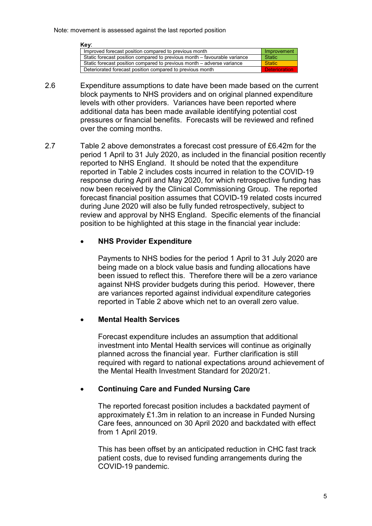#### **Key**: Improved forecast position compared to previous month Static forecast position compared to previous month – favourable variance Static Static forecast position compared to previous month – adverse variance  $\boxed{\text{Static}}$ Deteriorated forecast position compared to previous month

- 2.6 Expenditure assumptions to date have been made based on the current block payments to NHS providers and on original planned expenditure levels with other providers. Variances have been reported where additional data has been made available identifying potential cost pressures or financial benefits. Forecasts will be reviewed and refined over the coming months.
- 2.7 Table 2 above demonstrates a forecast cost pressure of £6.42m for the period 1 April to 31 July 2020, as included in the financial position recently reported to NHS England. It should be noted that the expenditure reported in Table 2 includes costs incurred in relation to the COVID-19 response during April and May 2020, for which retrospective funding has now been received by the Clinical Commissioning Group. The reported forecast financial position assumes that COVID-19 related costs incurred during June 2020 will also be fully funded retrospectively, subject to review and approval by NHS England. Specific elements of the financial position to be highlighted at this stage in the financial year include:

#### **NHS Provider Expenditure**

Payments to NHS bodies for the period 1 April to 31 July 2020 are being made on a block value basis and funding allocations have been issued to reflect this. Therefore there will be a zero variance against NHS provider budgets during this period. However, there are variances reported against individual expenditure categories reported in Table 2 above which net to an overall zero value.

#### **Mental Health Services**

Forecast expenditure includes an assumption that additional investment into Mental Health services will continue as originally planned across the financial year. Further clarification is still required with regard to national expectations around achievement of the Mental Health Investment Standard for 2020/21.

#### **Continuing Care and Funded Nursing Care**

The reported forecast position includes a backdated payment of approximately £1.3m in relation to an increase in Funded Nursing Care fees, announced on 30 April 2020 and backdated with effect from 1 April 2019.

This has been offset by an anticipated reduction in CHC fast track patient costs, due to revised funding arrangements during the COVID-19 pandemic.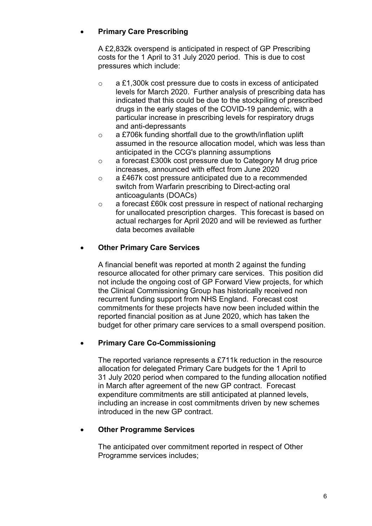# **Primary Care Prescribing**

A £2,832k overspend is anticipated in respect of GP Prescribing costs for the 1 April to 31 July 2020 period. This is due to cost pressures which include:

- o a £1,300k cost pressure due to costs in excess of anticipated levels for March 2020. Further analysis of prescribing data has indicated that this could be due to the stockpiling of prescribed drugs in the early stages of the COVID-19 pandemic, with a particular increase in prescribing levels for respiratory drugs and anti-depressants
- o a £706k funding shortfall due to the growth/inflation uplift assumed in the resource allocation model, which was less than anticipated in the CCG's planning assumptions
- o a forecast £300k cost pressure due to Category M drug price increases, announced with effect from June 2020
- o a £467k cost pressure anticipated due to a recommended switch from Warfarin prescribing to Direct-acting oral anticoagulants (DOACs)
- o a forecast £60k cost pressure in respect of national recharging for unallocated prescription charges. This forecast is based on actual recharges for April 2020 and will be reviewed as further data becomes available

# **Other Primary Care Services**

A financial benefit was reported at month 2 against the funding resource allocated for other primary care services. This position did not include the ongoing cost of GP Forward View projects, for which the Clinical Commissioning Group has historically received non recurrent funding support from NHS England. Forecast cost commitments for these projects have now been included within the reported financial position as at June 2020, which has taken the budget for other primary care services to a small overspend position.

# **Primary Care Co-Commissioning**

The reported variance represents a £711k reduction in the resource allocation for delegated Primary Care budgets for the 1 April to 31 July 2020 period when compared to the funding allocation notified in March after agreement of the new GP contract. Forecast expenditure commitments are still anticipated at planned levels, including an increase in cost commitments driven by new schemes introduced in the new GP contract.

#### **Other Programme Services**

The anticipated over commitment reported in respect of Other Programme services includes;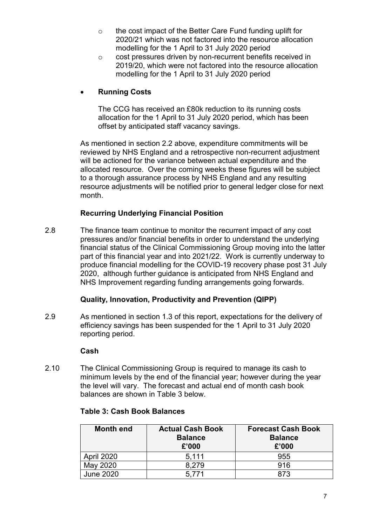- o the cost impact of the Better Care Fund funding uplift for 2020/21 which was not factored into the resource allocation modelling for the 1 April to 31 July 2020 period
- o cost pressures driven by non-recurrent benefits received in 2019/20, which were not factored into the resource allocation modelling for the 1 April to 31 July 2020 period

## **Running Costs**

The CCG has received an £80k reduction to its running costs allocation for the 1 April to 31 July 2020 period, which has been offset by anticipated staff vacancy savings.

As mentioned in section 2.2 above, expenditure commitments will be reviewed by NHS England and a retrospective non-recurrent adjustment will be actioned for the variance between actual expenditure and the allocated resource. Over the coming weeks these figures will be subject to a thorough assurance process by NHS England and any resulting resource adjustments will be notified prior to general ledger close for next month.

## **Recurring Underlying Financial Position**

2.8 The finance team continue to monitor the recurrent impact of any cost pressures and/or financial benefits in order to understand the underlying financial status of the Clinical Commissioning Group moving into the latter part of this financial year and into 2021/22. Work is currently underway to produce financial modelling for the COVID-19 recovery phase post 31 July 2020, although further guidance is anticipated from NHS England and NHS Improvement regarding funding arrangements going forwards.

#### **Quality, Innovation, Productivity and Prevention (QIPP)**

2.9 As mentioned in section 1.3 of this report, expectations for the delivery of efficiency savings has been suspended for the 1 April to 31 July 2020 reporting period.

#### **Cash**

2.10 The Clinical Commissioning Group is required to manage its cash to minimum levels by the end of the financial year; however during the year the level will vary. The forecast and actual end of month cash book balances are shown in Table 3 below.

| <b>Month end</b>  | <b>Actual Cash Book</b><br><b>Balance</b><br>£'000 | <b>Forecast Cash Book</b><br><b>Balance</b><br>£'000 |
|-------------------|----------------------------------------------------|------------------------------------------------------|
| <b>April 2020</b> | 5.111                                              | 955                                                  |
| May 2020          | 8.279                                              | 916                                                  |
| <b>June 2020</b>  | 5 7 7 1                                            | 873                                                  |

#### **Table 3: Cash Book Balances**